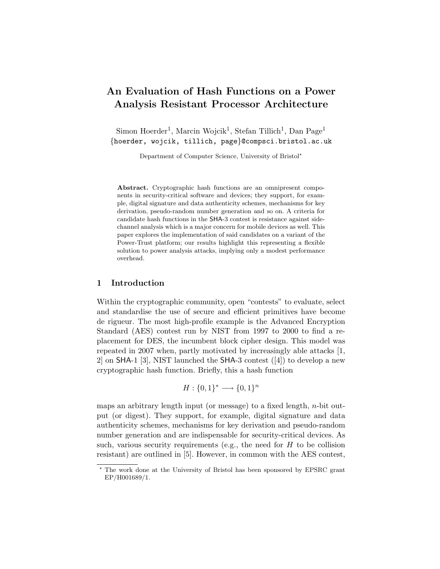# An Evaluation of Hash Functions on a Power Analysis Resistant Processor Architecture

Simon Hoerder<sup>1</sup>, Marcin Wojcik<sup>1</sup>, Stefan Tillich<sup>1</sup>, Dan Page<sup>1</sup> {hoerder, wojcik, tillich, page}@compsci.bristol.ac.uk

Department of Computer Science, University of Bristol?

Abstract. Cryptographic hash functions are an omnipresent components in security-critical software and devices; they support, for example, digital signature and data authenticity schemes, mechanisms for key derivation, pseudo-random number generation and so on. A criteria for candidate hash functions in the SHA-3 contest is resistance against sidechannel analysis which is a major concern for mobile devices as well. This paper explores the implementation of said candidates on a variant of the Power-Trust platform; our results highlight this representing a flexible solution to power analysis attacks, implying only a modest performance overhead.

### 1 Introduction

Within the cryptographic community, open "contests" to evaluate, select and standardise the use of secure and efficient primitives have become de rigueur. The most high-profile example is the Advanced Encryption Standard (AES) contest run by NIST from 1997 to 2000 to find a replacement for DES, the incumbent block cipher design. This model was repeated in 2007 when, partly motivated by increasingly able attacks [1, 2] on SHA-1 [3], NIST launched the SHA-3 contest ([4]) to develop a new cryptographic hash function. Briefly, this a hash function

$$
H: \{0,1\}^* \longrightarrow \{0,1\}^n
$$

maps an arbitrary length input (or message) to a fixed length,  $n$ -bit output (or digest). They support, for example, digital signature and data authenticity schemes, mechanisms for key derivation and pseudo-random number generation and are indispensable for security-critical devices. As such, various security requirements (e.g., the need for  $H$  to be collision resistant) are outlined in [5]. However, in common with the AES contest,

<sup>?</sup> The work done at the University of Bristol has been sponsored by EPSRC grant EP/H001689/1.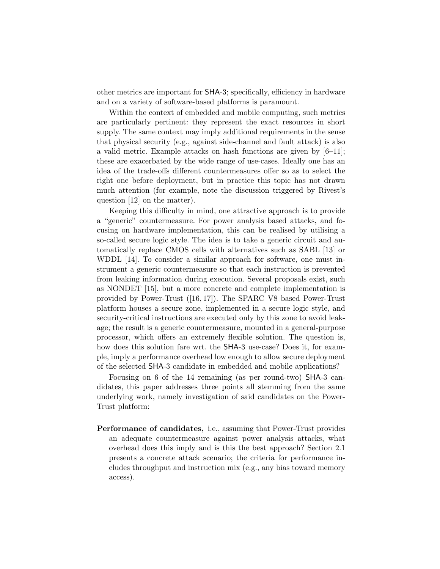other metrics are important for SHA-3; specifically, efficiency in hardware and on a variety of software-based platforms is paramount.

Within the context of embedded and mobile computing, such metrics are particularly pertinent: they represent the exact resources in short supply. The same context may imply additional requirements in the sense that physical security (e.g., against side-channel and fault attack) is also a valid metric. Example attacks on hash functions are given by  $[6-11]$ ; these are exacerbated by the wide range of use-cases. Ideally one has an idea of the trade-offs different countermeasures offer so as to select the right one before deployment, but in practice this topic has not drawn much attention (for example, note the discussion triggered by Rivest's question [12] on the matter).

Keeping this difficulty in mind, one attractive approach is to provide a "generic" countermeasure. For power analysis based attacks, and focusing on hardware implementation, this can be realised by utilising a so-called secure logic style. The idea is to take a generic circuit and automatically replace CMOS cells with alternatives such as SABL [13] or WDDL [14]. To consider a similar approach for software, one must instrument a generic countermeasure so that each instruction is prevented from leaking information during execution. Several proposals exist, such as NONDET [15], but a more concrete and complete implementation is provided by Power-Trust ([16, 17]). The SPARC V8 based Power-Trust platform houses a secure zone, implemented in a secure logic style, and security-critical instructions are executed only by this zone to avoid leakage; the result is a generic countermeasure, mounted in a general-purpose processor, which offers an extremely flexible solution. The question is, how does this solution fare wrt. the SHA-3 use-case? Does it, for example, imply a performance overhead low enough to allow secure deployment of the selected SHA-3 candidate in embedded and mobile applications?

Focusing on 6 of the 14 remaining (as per round-two) SHA-3 candidates, this paper addresses three points all stemming from the same underlying work, namely investigation of said candidates on the Power-Trust platform:

Performance of candidates, i.e., assuming that Power-Trust provides an adequate countermeasure against power analysis attacks, what overhead does this imply and is this the best approach? Section 2.1 presents a concrete attack scenario; the criteria for performance includes throughput and instruction mix (e.g., any bias toward memory access).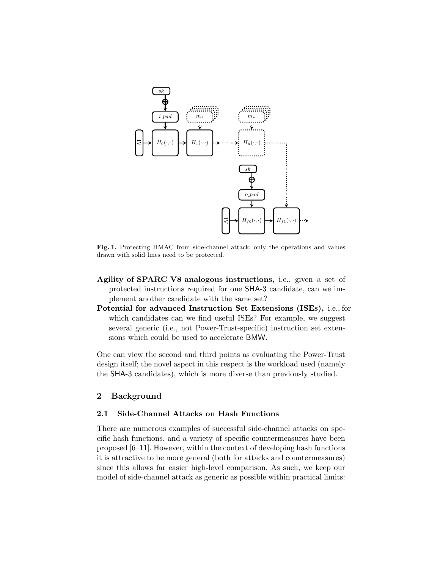

Fig. 1. Protecting HMAC from side-channel attack: only the operations and values drawn with solid lines need to be protected.

- Agility of SPARC V8 analogous instructions, i.e., given a set of protected instructions required for one SHA-3 candidate, can we implement another candidate with the same set?
- Potential for advanced Instruction Set Extensions (ISEs), i.e., for which candidates can we find useful ISEs? For example, we suggest several generic (i.e., not Power-Trust-specific) instruction set extensions which could be used to accelerate BMW.

One can view the second and third points as evaluating the Power-Trust design itself; the novel aspect in this respect is the workload used (namely the SHA-3 candidates), which is more diverse than previously studied.

## 2 Background

### 2.1 Side-Channel Attacks on Hash Functions

There are numerous examples of successful side-channel attacks on specific hash functions, and a variety of specific countermeasures have been proposed [6–11]. However, within the context of developing hash functions it is attractive to be more general (both for attacks and countermeasures) since this allows far easier high-level comparison. As such, we keep our model of side-channel attack as generic as possible within practical limits: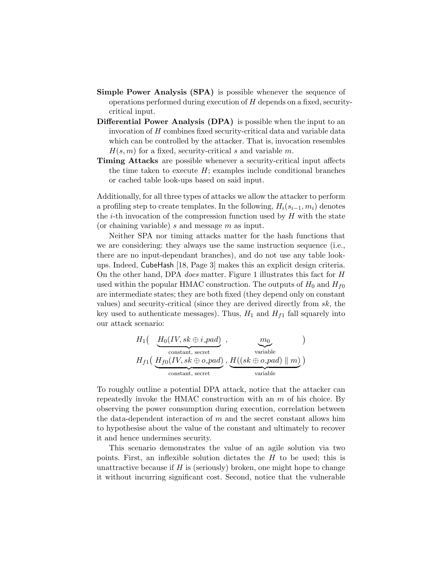- Simple Power Analysis (SPA) is possible whenever the sequence of operations performed during execution of  $H$  depends on a fixed, securitycritical input.
- Differential Power Analysis (DPA) is possible when the input to an invocation of H combines fixed security-critical data and variable data which can be controlled by the attacker. That is, invocation resembles  $H(s, m)$  for a fixed, security-critical s and variable m.
- Timing Attacks are possible whenever a security-critical input affects the time taken to execute  $H$ ; examples include conditional branches or cached table look-ups based on said input.

Additionally, for all three types of attacks we allow the attacker to perform a profiling step to create templates. In the following,  $H_i(s_{i-1}, m_i)$  denotes the *i*-th invocation of the compression function used by  $H$  with the state (or chaining variable) s and message  $m$  as input.

Neither SPA nor timing attacks matter for the hash functions that we are considering: they always use the same instruction sequence (i.e., there are no input-dependant branches), and do not use any table lookups. Indeed, CubeHash [18, Page 3] makes this an explicit design criteria. On the other hand, DPA does matter. Figure 1 illustrates this fact for H used within the popular HMAC construction. The outputs of  $H_0$  and  $H_{f0}$ are intermediate states; they are both fixed (they depend only on constant values) and security-critical (since they are derived directly from  $sk$ , the key used to authenticate messages). Thus,  $H_1$  and  $H_{f1}$  fall squarely into our attack scenario:

$$
H_1\left(\underbrace{H_0(IV, sk \oplus i\_pad)}_{\text{constant, secret}}, \underbrace{m_0}_{\text{variable}}\right), \underbrace{m_0}_{\text{variable}}\right)
$$
\n
$$
H_{f1}\left(\underbrace{H_{f0}(IV, sk \oplus o\_pad)}_{\text{constant, secret}}, \underbrace{H((sk \oplus o\_pad) \parallel m)}_{\text{variable}}\right)
$$

To roughly outline a potential DPA attack, notice that the attacker can repeatedly invoke the HMAC construction with an m of his choice. By observing the power consumption during execution, correlation between the data-dependent interaction of  $m$  and the secret constant allows him to hypothesise about the value of the constant and ultimately to recover it and hence undermines security.

This scenario demonstrates the value of an agile solution via two points. First, an inflexible solution dictates the  $H$  to be used; this is unattractive because if  $H$  is (seriously) broken, one might hope to change it without incurring significant cost. Second, notice that the vulnerable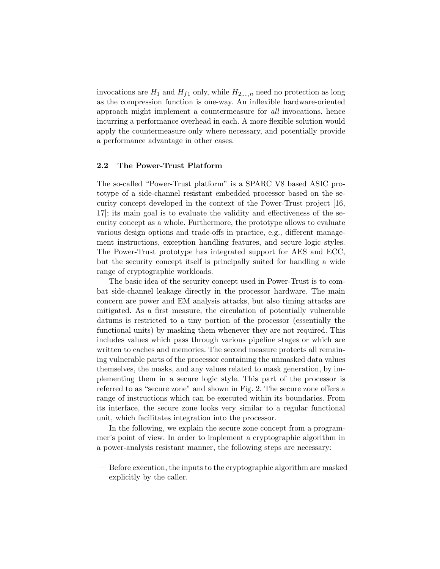invocations are  $H_1$  and  $H_{f1}$  only, while  $H_{2,\dots,n}$  need no protection as long as the compression function is one-way. An inflexible hardware-oriented approach might implement a countermeasure for all invocations, hence incurring a performance overhead in each. A more flexible solution would apply the countermeasure only where necessary, and potentially provide a performance advantage in other cases.

## 2.2 The Power-Trust Platform

The so-called "Power-Trust platform" is a SPARC V8 based ASIC prototype of a side-channel resistant embedded processor based on the security concept developed in the context of the Power-Trust project [16, 17]; its main goal is to evaluate the validity and effectiveness of the security concept as a whole. Furthermore, the prototype allows to evaluate various design options and trade-offs in practice, e.g., different management instructions, exception handling features, and secure logic styles. The Power-Trust prototype has integrated support for AES and ECC, but the security concept itself is principally suited for handling a wide range of cryptographic workloads.

The basic idea of the security concept used in Power-Trust is to combat side-channel leakage directly in the processor hardware. The main concern are power and EM analysis attacks, but also timing attacks are mitigated. As a first measure, the circulation of potentially vulnerable datums is restricted to a tiny portion of the processor (essentially the functional units) by masking them whenever they are not required. This includes values which pass through various pipeline stages or which are written to caches and memories. The second measure protects all remaining vulnerable parts of the processor containing the unmasked data values themselves, the masks, and any values related to mask generation, by implementing them in a secure logic style. This part of the processor is referred to as "secure zone" and shown in Fig. 2. The secure zone offers a range of instructions which can be executed within its boundaries. From its interface, the secure zone looks very similar to a regular functional unit, which facilitates integration into the processor.

In the following, we explain the secure zone concept from a programmer's point of view. In order to implement a cryptographic algorithm in a power-analysis resistant manner, the following steps are necessary:

– Before execution, the inputs to the cryptographic algorithm are masked explicitly by the caller.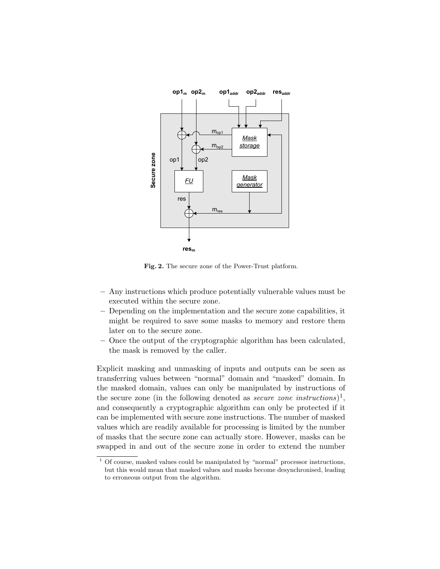

Fig. 2. The secure zone of the Power-Trust platform.

- Any instructions which produce potentially vulnerable values must be executed within the secure zone.
- Depending on the implementation and the secure zone capabilities, it might be required to save some masks to memory and restore them later on to the secure zone.
- Once the output of the cryptographic algorithm has been calculated, the mask is removed by the caller.

Explicit masking and unmasking of inputs and outputs can be seen as transferring values between "normal" domain and "masked" domain. In the masked domain, values can only be manipulated by instructions of the secure zone (in the following denoted as *secure zone instructions*)<sup>1</sup>, and consequently a cryptographic algorithm can only be protected if it can be implemented with secure zone instructions. The number of masked values which are readily available for processing is limited by the number of masks that the secure zone can actually store. However, masks can be swapped in and out of the secure zone in order to extend the number

 $1$  Of course, masked values could be manipulated by "normal" processor instructions, but this would mean that masked values and masks become desynchronised, leading to erroneous output from the algorithm.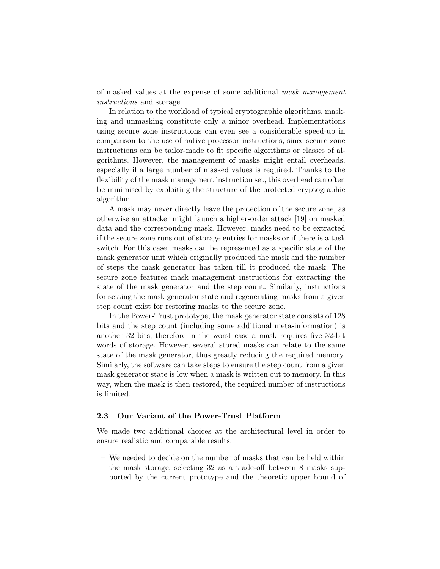of masked values at the expense of some additional mask management instructions and storage.

In relation to the workload of typical cryptographic algorithms, masking and unmasking constitute only a minor overhead. Implementations using secure zone instructions can even see a considerable speed-up in comparison to the use of native processor instructions, since secure zone instructions can be tailor-made to fit specific algorithms or classes of algorithms. However, the management of masks might entail overheads, especially if a large number of masked values is required. Thanks to the flexibility of the mask management instruction set, this overhead can often be minimised by exploiting the structure of the protected cryptographic algorithm.

A mask may never directly leave the protection of the secure zone, as otherwise an attacker might launch a higher-order attack [19] on masked data and the corresponding mask. However, masks need to be extracted if the secure zone runs out of storage entries for masks or if there is a task switch. For this case, masks can be represented as a specific state of the mask generator unit which originally produced the mask and the number of steps the mask generator has taken till it produced the mask. The secure zone features mask management instructions for extracting the state of the mask generator and the step count. Similarly, instructions for setting the mask generator state and regenerating masks from a given step count exist for restoring masks to the secure zone.

In the Power-Trust prototype, the mask generator state consists of 128 bits and the step count (including some additional meta-information) is another 32 bits; therefore in the worst case a mask requires five 32-bit words of storage. However, several stored masks can relate to the same state of the mask generator, thus greatly reducing the required memory. Similarly, the software can take steps to ensure the step count from a given mask generator state is low when a mask is written out to memory. In this way, when the mask is then restored, the required number of instructions is limited.

### 2.3 Our Variant of the Power-Trust Platform

We made two additional choices at the architectural level in order to ensure realistic and comparable results:

– We needed to decide on the number of masks that can be held within the mask storage, selecting 32 as a trade-off between 8 masks supported by the current prototype and the theoretic upper bound of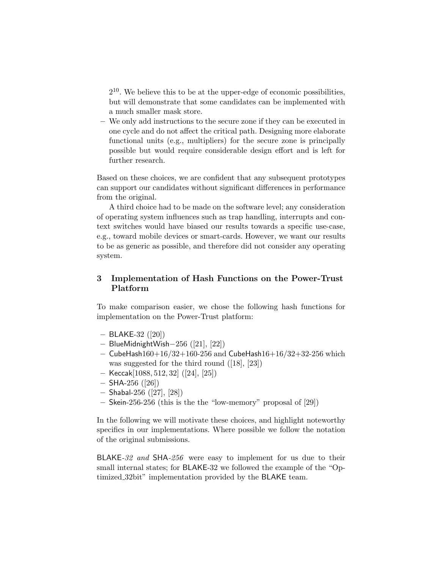$2^{10}$ . We believe this to be at the upper-edge of economic possibilities, but will demonstrate that some candidates can be implemented with a much smaller mask store.

– We only add instructions to the secure zone if they can be executed in one cycle and do not affect the critical path. Designing more elaborate functional units (e.g., multipliers) for the secure zone is principally possible but would require considerable design effort and is left for further research.

Based on these choices, we are confident that any subsequent prototypes can support our candidates without significant differences in performance from the original.

A third choice had to be made on the software level; any consideration of operating system influences such as trap handling, interrupts and context switches would have biased our results towards a specific use-case, e.g., toward mobile devices or smart-cards. However, we want our results to be as generic as possible, and therefore did not consider any operating system.

# 3 Implementation of Hash Functions on the Power-Trust Platform

To make comparison easier, we chose the following hash functions for implementation on the Power-Trust platform:

- $-$  BLAKE-32 ([20])
- BlueMidnightWish−256 ([21], [22])
- $-$  CubeHash $160+16/32+160-256$  and CubeHash $16+16/32+32-256$  which was suggested for the third round ([18], [23])
- Keccak[1088, 512, 32] ([24], [25])
- $-$  SHA-256 ([26])
- $-$  Shabal-256 ([27], [28])
- Skein-256-256 (this is the the "low-memory" proposal of [29])

In the following we will motivate these choices, and highlight noteworthy specifics in our implementations. Where possible we follow the notation of the original submissions.

BLAKE-32 and SHA-256 were easy to implement for us due to their small internal states; for BLAKE-32 we followed the example of the "Optimized 32bit" implementation provided by the BLAKE team.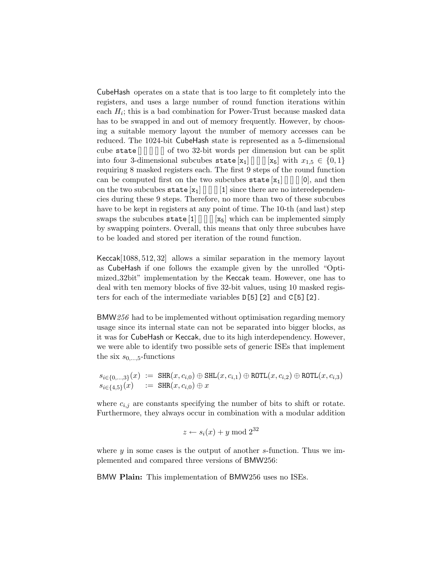CubeHash operates on a state that is too large to fit completely into the registers, and uses a large number of round function iterations within each  $H_i$ ; this is a bad combination for Power-Trust because masked data has to be swapped in and out of memory frequently. However, by choosing a suitable memory layout the number of memory accesses can be reduced. The 1024-bit CubeHash state is represented as a 5-dimensional cube state  $\| \| \| \|$  of two 32-bit words per dimension but can be split into four 3-dimensional subcubes state  $\lfloor x_1 \rfloor \lfloor \| f \rfloor \rfloor$  with  $x_{1,5} \in \{0,1\}$ requiring 8 masked registers each. The first 9 steps of the round function can be computed first on the two subcubes state  $[x_1]$   $|| \cdot || \cdot ||$  [0], and then on the two subcubes state  $\lfloor x_1 \rfloor \lfloor \lceil \frac{n}{2} \rceil \rfloor$  since there are no interedependencies during these 9 steps. Therefore, no more than two of these subcubes have to be kept in registers at any point of time. The 10-th (and last) step swaps the subcubes state  $[1]$   $\left[\right]$   $\left[\right]$   $\left[\right]$   $\left[x_5\right]$  which can be implemented simply by swapping pointers. Overall, this means that only three subcubes have to be loaded and stored per iteration of the round function.

Keccak[1088, 512, 32] allows a similar separation in the memory layout as CubeHash if one follows the example given by the unrolled "Optimized 32bit" implementation by the Keccak team. However, one has to deal with ten memory blocks of five 32-bit values, using 10 masked registers for each of the intermediate variables D[5][2] and C[5][2].

BMW256 had to be implemented without optimisation regarding memory usage since its internal state can not be separated into bigger blocks, as it was for CubeHash or Keccak, due to its high interdependency. However, we were able to identify two possible sets of generic ISEs that implement the six  $s_{0,\dots,5}$ -functions

$$
s_{i \in \{0,\ldots,3\}}(x) := \text{SHR}(x, c_{i,0}) \oplus \text{SHL}(x, c_{i,1}) \oplus \text{ROTL}(x, c_{i,2}) \oplus \text{ROTL}(x, c_{i,3})
$$
  
\n
$$
s_{i \in \{4,5\}}(x) := \text{SHR}(x, c_{i,0}) \oplus x
$$

where  $c_{i,j}$  are constants specifying the number of bits to shift or rotate. Furthermore, they always occur in combination with a modular addition

$$
z \leftarrow s_i(x) + y \bmod 2^{32}
$$

where  $y$  in some cases is the output of another s-function. Thus we implemented and compared three versions of BMW256:

BMW Plain: This implementation of BMW256 uses no ISEs.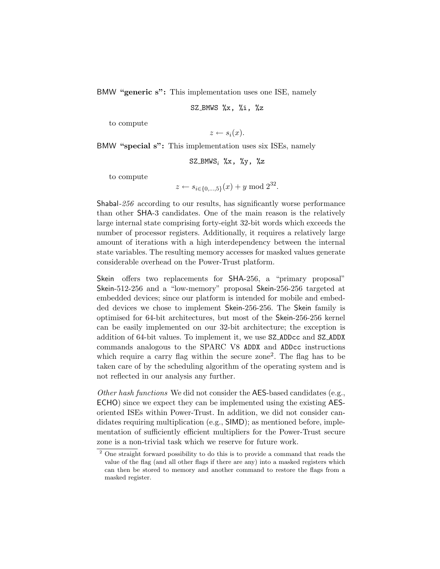BMW "generic s": This implementation uses one ISE, namely

SZ\_BMWS %x, %i, %z

to compute

 $z \leftarrow s_i(x)$ .

BMW "special s": This implementation uses six ISEs, namely

$$
SZ\_BMWS_i \mathrel{\%} x, \mathrel{\%} y, \mathrel{\%} z
$$

to compute

$$
z \leftarrow s_{i \in \{0, ..., 5\}}(x) + y \mod 2^{32}
$$

.

Shabal-256 according to our results, has significantly worse performance than other SHA-3 candidates. One of the main reason is the relatively large internal state comprising forty-eight 32-bit words which exceeds the number of processor registers. Additionally, it requires a relatively large amount of iterations with a high interdependency between the internal state variables. The resulting memory accesses for masked values generate considerable overhead on the Power-Trust platform.

Skein offers two replacements for SHA-256, a "primary proposal" Skein-512-256 and a "low-memory" proposal Skein-256-256 targeted at embedded devices; since our platform is intended for mobile and embedded devices we chose to implement Skein-256-256. The Skein family is optimised for 64-bit architectures, but most of the Skein-256-256 kernel can be easily implemented on our 32-bit architecture; the exception is addition of 64-bit values. To implement it, we use SZ ADDcc and SZ ADDX commands analogous to the SPARC V8 ADDX and ADDcc instructions which require a carry flag within the secure zone<sup>2</sup>. The flag has to be taken care of by the scheduling algorithm of the operating system and is not reflected in our analysis any further.

Other hash functions We did not consider the AES-based candidates (e.g., ECHO) since we expect they can be implemented using the existing AESoriented ISEs within Power-Trust. In addition, we did not consider candidates requiring multiplication (e.g., SIMD); as mentioned before, implementation of sufficiently efficient multipliers for the Power-Trust secure zone is a non-trivial task which we reserve for future work.

<sup>2</sup> One straight forward possibility to do this is to provide a command that reads the value of the flag (and all other flags if there are any) into a masked registers which can then be stored to memory and another command to restore the flags from a masked register.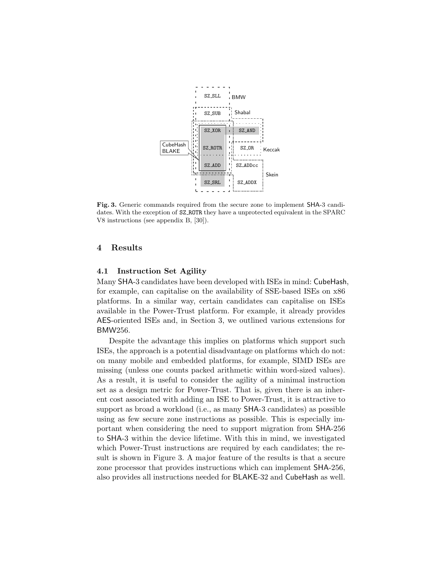

Fig. 3. Generic commands required from the secure zone to implement SHA-3 candidates. With the exception of SZ ROTR they have a unprotected equivalent in the SPARC V8 instructions (see appendix B, [30]).

### 4 Results

### 4.1 Instruction Set Agility

Many SHA-3 candidates have been developed with ISEs in mind: CubeHash, for example, can capitalise on the availability of SSE-based ISEs on x86 platforms. In a similar way, certain candidates can capitalise on ISEs available in the Power-Trust platform. For example, it already provides AES-oriented ISEs and, in Section 3, we outlined various extensions for BMW256.

Despite the advantage this implies on platforms which support such ISEs, the approach is a potential disadvantage on platforms which do not: on many mobile and embedded platforms, for example, SIMD ISEs are missing (unless one counts packed arithmetic within word-sized values). As a result, it is useful to consider the agility of a minimal instruction set as a design metric for Power-Trust. That is, given there is an inherent cost associated with adding an ISE to Power-Trust, it is attractive to support as broad a workload (i.e., as many SHA-3 candidates) as possible using as few secure zone instructions as possible. This is especially important when considering the need to support migration from SHA-256 to SHA-3 within the device lifetime. With this in mind, we investigated which Power-Trust instructions are required by each candidates; the result is shown in Figure 3. A major feature of the results is that a secure zone processor that provides instructions which can implement SHA-256, also provides all instructions needed for BLAKE-32 and CubeHash as well.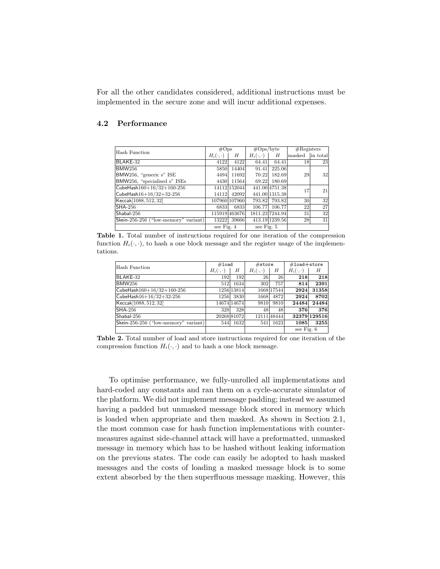For all the other candidates considered, additional instructions must be implemented in the secure zone and will incur additional expenses.

#### 4.2 Performance

| Hash Function                        | $\#$ Ops           |               | $\text{\#Ops}/\text{byte}$ |                 | $\#\text{Registers}$ |          |
|--------------------------------------|--------------------|---------------|----------------------------|-----------------|----------------------|----------|
|                                      | $H_i(\cdot,\cdot)$ | Н             | $H_i(\cdot,\cdot)$         | Н               | masked               | in total |
| BLAKE-32                             | 4122               | 4122          | 64.41                      | 64.41           | 18 <sup>1</sup>      | 23       |
| <b>BMW256</b>                        | 5850               | 14404         | 91.41                      | 225.06          |                      |          |
| BMW256, "generic s" ISE              | 4494               | 11692         | 70.22                      | 182.69          | 29                   | 32       |
| BMW256, "specialised s" ISEs         | 4430               | 11564         | 69.22                      | 180.69          |                      |          |
| CubeHash $160+16/32+160-256$         |                    | 14112 152044  |                            | 441.00 4751.38  | 17                   | 21       |
| CubeHash $16+16/32+32-256$           | 14112              | 42092         |                            | 441.00 1315.38  |                      |          |
| Keccak[1088, 512, 32]                |                    | 107960 107960 | 793.82                     | 793.82          | 30 <sup>l</sup>      | 32       |
| <b>SHA-256</b>                       | 6833               | 6833          | 106.77                     | 106.77          | 22                   | 27       |
| Shabal-256                           |                    | 115919 463676 |                            | 1811.23 7244.94 | 31                   | 32       |
| Skein-256-256 ("low-memory" variant) | 13222              | 39666         |                            | 413.19 1239.56  | 28                   | 31       |
|                                      | see Fig. $4$       |               | see Fig. 5                 |                 |                      |          |

Table 1. Total number of instructions required for one iteration of the compression function  $H_i(\cdot, \cdot)$ , to hash a one block message and the register usage of the implementations.

| Hash Function                        | #load              |             | $# \text{store}$   |             | $#load + store$    |              |
|--------------------------------------|--------------------|-------------|--------------------|-------------|--------------------|--------------|
|                                      | $H_i(\cdot,\cdot)$ | Н           | $H_i(\cdot,\cdot)$ | Н           | $H_i(\cdot,\cdot)$ | Н            |
| BLAKE-32                             | 192                | 192         | 26                 | 26          | 218                | 218          |
| <b>BMW256</b>                        | 512                | 1634        | 302                | 757         | 814                | 2391         |
| CubeHash $160+16/32+160-256$         |                    | 1256 13814  |                    | 1668 17544  | 2924               | 31358        |
| CubeHash $16+16/32+32-256$           | 1256               | 3830        | 1668               | 4872        | 2924               | 8702         |
| Keccak [1088, 512, 32]               |                    | 14674 14674 | 9810               | 9810        | 24484              | 24484        |
| <b>SHA-256</b>                       | 328                | 328         | 48                 | 48          | 376                | 376          |
| $Shabal-256$                         |                    | 20268 81072 |                    | 12111 48444 |                    | 32379 129516 |
| Skein-256-256 ("low-memory" variant) | 544                | 1632        | 541                | 1623        | 1085               | 3255         |
|                                      |                    |             |                    |             | see Fig. $6$       |              |

Table 2. Total number of load and store instructions required for one iteration of the compression function  $H_i(\cdot, \cdot)$  and to hash a one block message.

To optimise performance, we fully-unrolled all implementations and hard-coded any constants and ran them on a cycle-accurate simulator of the platform. We did not implement message padding; instead we assumed having a padded but unmasked message block stored in memory which is loaded when appropriate and then masked. As shown in Section 2.1, the most common case for hash function implementations with countermeasures against side-channel attack will have a preformatted, unmasked message in memory which has to be hashed without leaking information on the previous states. The code can easily be adopted to hash masked messages and the costs of loading a masked message block is to some extent absorbed by the then superfluous message masking. However, this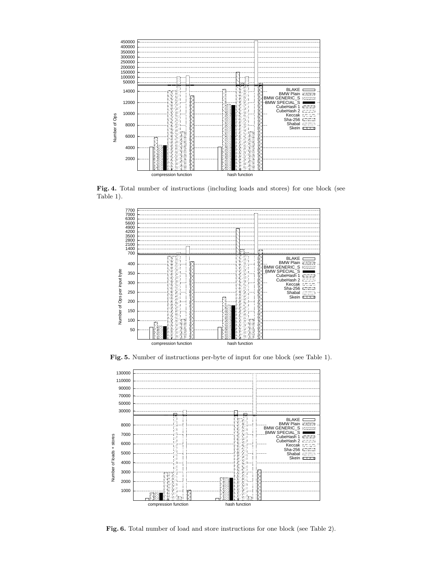

Fig. 4. Total number of instructions (including loads and stores) for one block (see Table 1).



Fig. 5. Number of instructions per-byte of input for one block (see Table 1).



Fig. 6. Total number of load and store instructions for one block (see Table 2).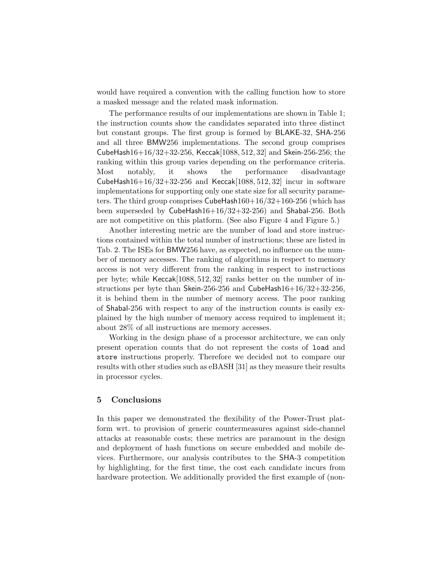would have required a convention with the calling function how to store a masked message and the related mask information.

The performance results of our implementations are shown in Table 1; the instruction counts show the candidates separated into three distinct but constant groups. The first group is formed by BLAKE-32, SHA-256 and all three BMW256 implementations. The second group comprises CubeHash16+16/32+32-256, Keccak[1088, 512, 32] and Skein-256-256; the ranking within this group varies depending on the performance criteria. Most notably, it shows the performance disadvantage CubeHash16+16/32+32-256 and Keccak[1088, 512, 32] incur in software implementations for supporting only one state size for all security parameters. The third group comprises  $\textsf{CubeHash160+16}/32+160-256$  (which has been superseded by CubeHash16+16/32+32-256) and Shabal-256. Both are not competitive on this platform. (See also Figure 4 and Figure 5.)

Another interesting metric are the number of load and store instructions contained within the total number of instructions; these are listed in Tab. 2. The ISEs for BMW256 have, as expected, no influence on the number of memory accesses. The ranking of algorithms in respect to memory access is not very different from the ranking in respect to instructions per byte; while Keccak[1088, 512, 32] ranks better on the number of instructions per byte than Skein-256-256 and CubeHash $16+16/32+32-256$ , it is behind them in the number of memory access. The poor ranking of Shabal-256 with respect to any of the instruction counts is easily explained by the high number of memory access required to implement it; about 28% of all instructions are memory accesses.

Working in the design phase of a processor architecture, we can only present operation counts that do not represent the costs of load and store instructions properly. Therefore we decided not to compare our results with other studies such as eBASH [31] as they measure their results in processor cycles.

### 5 Conclusions

In this paper we demonstrated the flexibility of the Power-Trust platform wrt. to provision of generic countermeasures against side-channel attacks at reasonable costs; these metrics are paramount in the design and deployment of hash functions on secure embedded and mobile devices. Furthermore, our analysis contributes to the SHA-3 competition by highlighting, for the first time, the cost each candidate incurs from hardware protection. We additionally provided the first example of (non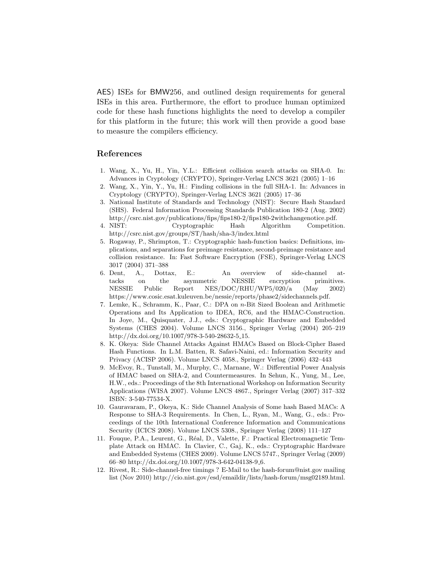AES) ISEs for BMW256, and outlined design requirements for general ISEs in this area. Furthermore, the effort to produce human optimized code for these hash functions highlights the need to develop a compiler for this platform in the future; this work will then provide a good base to measure the compilers efficiency.

### References

- 1. Wang, X., Yu, H., Yin, Y.L.: Efficient collision search attacks on SHA-0. In: Advances in Cryptology (CRYPTO), Springer-Verlag LNCS 3621 (2005) 1–16
- 2. Wang, X., Yin, Y., Yu, H.: Finding collisions in the full SHA-1. In: Advances in Cryptology (CRYPTO), Springer-Verlag LNCS 3621 (2005) 17–36
- 3. National Institute of Standards and Technology (NIST): Secure Hash Standard (SHS). Federal Information Processing Standards Publication 180-2 (Aug. 2002) http://csrc.nist.gov/publications/fips/fips180-2/fips180-2withchangenotice.pdf.
- 4. NIST: Cryptographic Hash Algorithm Competition. http://csrc.nist.gov/groups/ST/hash/sha-3/index.html
- 5. Rogaway, P., Shrimpton, T.: Cryptographic hash-function basics: Definitions, implications, and separations for preimage resistance, second-preimage resistance and collision resistance. In: Fast Software Encryption (FSE), Springer-Verlag LNCS 3017 (2004) 371–388
- 6. Dent, A., Dottax, E.: An overview of side-channel attacks on the asymmetric NESSIE encryption primitives. NESSIE Public Report NES/DOC/RHU/WP5/020/a (May 2002) https://www.cosic.esat.kuleuven.be/nessie/reports/phase2/sidechannels.pdf.
- 7. Lemke, K., Schramm, K., Paar, C.: DPA on n-Bit Sized Boolean and Arithmetic Operations and Its Application to IDEA, RC6, and the HMAC-Construction. In Joye, M., Quisquater, J.J., eds.: Cryptographic Hardware and Embedded Systems (CHES 2004). Volume LNCS 3156., Springer Verlag (2004) 205–219 http://dx.doi.org/10.1007/978-3-540-28632-5 15.
- 8. K. Okeya: Side Channel Attacks Against HMACs Based on Block-Cipher Based Hash Functions. In L.M. Batten, R. Safavi-Naini, ed.: Information Security and Privacy (ACISP 2006). Volume LNCS 4058., Springer Verlag (2006) 432–443
- 9. McEvoy, R., Tunstall, M., Murphy, C., Marnane, W.: Differential Power Analysis of HMAC based on SHA-2, and Countermeasures. In Sehun, K., Yung, M., Lee, H.W., eds.: Proceedings of the 8th International Workshop on Information Security Applications (WISA 2007). Volume LNCS 4867., Springer Verlag (2007) 317–332 ISBN: 3-540-77534-X.
- 10. Gauravaram, P., Okeya, K.: Side Channel Analysis of Some hash Based MACs: A Response to SHA-3 Requirements. In Chen, L., Ryan, M., Wang, G., eds.: Proceedings of the 10th International Conference Information and Communications Security (ICICS 2008). Volume LNCS 5308., Springer Verlag (2008) 111–127
- 11. Fouque, P.A., Leurent, G., R´eal, D., Valette, F.: Practical Electromagnetic Template Attack on HMAC. In Clavier, C., Gaj, K., eds.: Cryptographic Hardware and Embedded Systems (CHES 2009). Volume LNCS 5747., Springer Verlag (2009) 66–80 http://dx.doi.org/10.1007/978-3-642-04138-9 6.
- 12. Rivest, R.: Side-channel-free timings ? E-Mail to the hash-forum@nist.gov mailing list (Nov 2010) http://cio.nist.gov/esd/emaildir/lists/hash-forum/msg02189.html.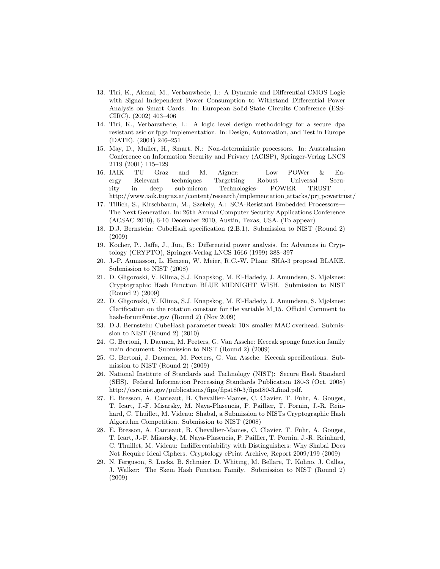- 13. Tiri, K., Akmal, M., Verbauwhede, I.: A Dynamic and Differential CMOS Logic with Signal Independent Power Consumption to Withstand Differential Power Analysis on Smart Cards. In: European Solid-State Circuits Conference (ESS-CIRC). (2002) 403–406
- 14. Tiri, K., Verbauwhede, I.: A logic level design methodology for a secure dpa resistant asic or fpga implementation. In: Design, Automation, and Test in Europe (DATE). (2004) 246–251
- 15. May, D., Muller, H., Smart, N.: Non-deterministic processors. In: Australasian Conference on Information Security and Privacy (ACISP), Springer-Verlag LNCS 2119 (2001) 115–129
- 16. IAIK TU Graz and M. Aigner: Low POWer & Energy Relevant techniques Targetting Robust Universal Security in deep sub-micron Technologies- POWER TRUST . http://www.iaik.tugraz.at/content/research/implementation attacks/prj powertrust/
- 17. Tillich, S., Kirschbaum, M., Szekely, A.: SCA-Resistant Embedded Processors— The Next Generation. In: 26th Annual Computer Security Applications Conference (ACSAC 2010), 6-10 December 2010, Austin, Texas, USA. (To appear)
- 18. D.J. Bernstein: CubeHash specification (2.B.1). Submission to NIST (Round 2) (2009)
- 19. Kocher, P., Jaffe, J., Jun, B.: Differential power analysis. In: Advances in Cryptology (CRYPTO), Springer-Verlag LNCS 1666 (1999) 388–397
- 20. J.-P. Aumasson, L. Henzen, W. Meier, R.C.-W. Phan: SHA-3 proposal BLAKE. Submission to NIST (2008)
- 21. D. Gligoroski, V. Klima, S.J. Knapskog, M. El-Hadedy, J. Amundsen, S. Mjølsnes: Cryptographic Hash Function BLUE MIDNIGHT WISH. Submission to NIST (Round 2) (2009)
- 22. D. Gligoroski, V. Klima, S.J. Knapskog, M. El-Hadedy, J. Amundsen, S. Mjølsnes: Clarification on the rotation constant for the variable M 15. Official Comment to hash-forum@nist.gov (Round 2) (Nov 2009)
- 23. D.J. Bernstein: CubeHash parameter tweak:  $10\times$  smaller MAC overhead. Submission to NIST (Round 2) (2010)
- 24. G. Bertoni, J. Daemen, M. Peeters, G. Van Assche: Keccak sponge function family main document. Submission to NIST (Round 2) (2009)
- 25. G. Bertoni, J. Daemen, M. Peeters, G. Van Assche: Keccak specifications. Submission to NIST (Round 2) (2009)
- 26. National Institute of Standards and Technology (NIST): Secure Hash Standard (SHS). Federal Information Processing Standards Publication 180-3 (Oct. 2008) http://csrc.nist.gov/publications/fips/fips180-3/fips180-3 final.pdf.
- 27. E. Bresson, A. Canteaut, B. Chevallier-Mames, C. Clavier, T. Fuhr, A. Gouget, T. Icart, J.-F. Misarsky, M. Naya-Plasencia, P. Paillier, T. Pornin, J.-R. Reinhard, C. Thuillet, M. Videau: Shabal, a Submission to NISTs Cryptographic Hash Algorithm Competition. Submission to NIST (2008)
- 28. E. Bresson, A. Canteaut, B. Chevallier-Mames, C. Clavier, T. Fuhr, A. Gouget, T. Icart, J.-F. Misarsky, M. Naya-Plasencia, P. Paillier, T. Pornin, J.-R. Reinhard, C. Thuillet, M. Videau: Indifferentiability with Distinguishers: Why Shabal Does Not Require Ideal Ciphers. Cryptology ePrint Archive, Report 2009/199 (2009)
- 29. N. Ferguson, S. Lucks, B. Schneier, D. Whiting, M. Bellare, T. Kohno, J. Callas, J. Walker: The Skein Hash Function Family. Submission to NIST (Round 2) (2009)